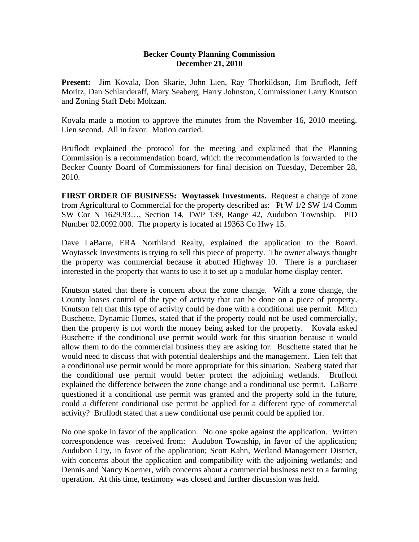## **Becker County Planning Commission December 21, 2010**

**Present:** Jim Kovala, Don Skarie, John Lien, Ray Thorkildson, Jim Bruflodt, Jeff Moritz, Dan Schlauderaff, Mary Seaberg, Harry Johnston, Commissioner Larry Knutson and Zoning Staff Debi Moltzan.

Kovala made a motion to approve the minutes from the November 16, 2010 meeting. Lien second. All in favor. Motion carried.

Bruflodt explained the protocol for the meeting and explained that the Planning Commission is a recommendation board, which the recommendation is forwarded to the Becker County Board of Commissioners for final decision on Tuesday, December 28, 2010.

**FIRST ORDER OF BUSINESS: Woytassek Investments.** Request a change of zone from Agricultural to Commercial for the property described as: Pt W 1/2 SW 1/4 Comm SW Cor N 1629.93…, Section 14, TWP 139, Range 42, Audubon Township. PID Number 02.0092.000. The property is located at 19363 Co Hwy 15.

Dave LaBarre, ERA Northland Realty, explained the application to the Board. Woytassek Investments is trying to sell this piece of property. The owner always thought the property was commercial because it abutted Highway 10. There is a purchaser interested in the property that wants to use it to set up a modular home display center.

Knutson stated that there is concern about the zone change. With a zone change, the County looses control of the type of activity that can be done on a piece of property. Knutson felt that this type of activity could be done with a conditional use permit. Mitch Buschette, Dynamic Homes, stated that if the property could not be used commercially, then the property is not worth the money being asked for the property. Kovala asked Buschette if the conditional use permit would work for this situation because it would allow them to do the commercial business they are asking for. Buschette stated that he would need to discuss that with potential dealerships and the management. Lien felt that a conditional use permit would be more appropriate for this situation. Seaberg stated that the conditional use permit would better protect the adjoining wetlands. Bruflodt explained the difference between the zone change and a conditional use permit. LaBarre questioned if a conditional use permit was granted and the property sold in the future, could a different conditional use permit be applied for a different type of commercial activity? Bruflodt stated that a new conditional use permit could be applied for.

No one spoke in favor of the application. No one spoke against the application. Written correspondence was received from: Audubon Township, in favor of the application; Audubon City, in favor of the application; Scott Kahn, Wetland Management District, with concerns about the application and compatibility with the adjoining wetlands; and Dennis and Nancy Koerner, with concerns about a commercial business next to a farming operation. At this time, testimony was closed and further discussion was held.